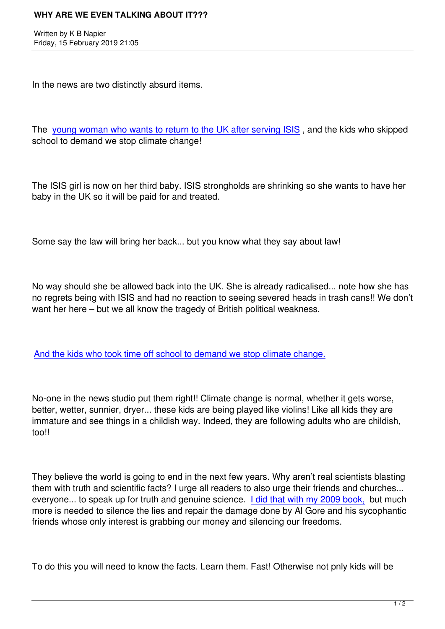In the news are two distinctly absurd items.

The young woman who wants to return to the UK after serving ISIS, and the kids who skipped school to demand we stop climate change!

The ISIS girl is now on her third baby. ISIS strongholds are shrinking so she wants to have her baby in the UK so it will be paid for and treated.

Some say the law will bring her back... but you know what they say about law!

No way should she be allowed back into the UK. She is already radicalised... note how she has no regrets being with ISIS and had no reaction to seeing severed heads in trash cans!! We don't want her here – but we all know the tragedy of British political weakness.

And the kids who took time off school to demand we stop climate change.

[No-one in the news studio put them right!! Climate change is normal, wheth](https://www.telegraph.co.uk/news/2019/02/15/theresa-may-condemns-thousands-children-staged-school-walk-protest/)er it gets worse, better, wetter, sunnier, dryer... these kids are being played like violins! Like all kids they are immature and see things in a childish way. Indeed, they are following adults who are childish, too!!

They believe the world is going to end in the next few years. Why aren't real scientists blasting them with truth and scientific facts? I urge all readers to also urge their friends and churches... everyone... to speak up for truth and genuine science. I did that with my 2009 book, but much more is needed to silence the lies and repair the damage done by Al Gore and his sycophantic friends whose only interest is grabbing our money and silencing our freedoms.

To do this you will need to know the facts. Learn them. Fast! Otherwise not pnly kids will be